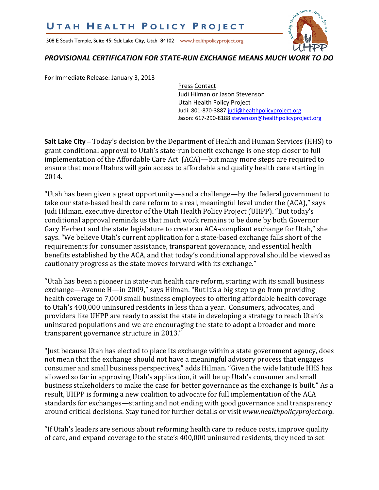## **U T A H H E A L T H P O L I C Y P R O J E C T**

508 E South Temple, Suite 45; Salt Lake City, Utah 84102 www.healthpolicyproject.org



## *PROVISIONAL CERTIFICATION FOR STATE-RUN EXCHANGE MEANS MUCH WORK TO DO*

For Immediate Release: January 3, 2013

Press Contact Judi Hilman or Jason Stevenson Utah Health Policy Project Judi: 801-870-3887 judi@healthpolicyproject.org Jason: 617-290-8188 stevenson@healthpolicyproject.org

**Salt Lake City** – Today's decision by the Department of Health and Human Services (HHS) to grant conditional approval to Utah's state-run benefit exchange is one step closer to full implementation of the Affordable Care Act (ACA)—but many more steps are required to ensure that more Utahns will gain access to affordable and quality health care starting in 2014.

"Utah has been given a great opportunity—and a challenge—by the federal government to take our state-based health care reform to a real, meaningful level under the (ACA)," says Judi Hilman, executive director of the Utah Health Policy Project (UHPP). "But today's conditional approval reminds us that much work remains to be done by both Governor Gary Herbert and the state legislature to create an ACA-compliant exchange for Utah," she says. "We believe Utah's current application for a state-based exchange falls short of the requirements for consumer assistance, transparent governance, and essential health benefits established by the ACA, and that today's conditional approval should be viewed as cautionary progress as the state moves forward with its exchange."

"Utah has been a pioneer in state-run health care reform, starting with its small business exchange—Avenue H—in 2009," says Hilman. "But it's a big step to go from providing health coverage to 7,000 small business employees to offering affordable health coverage to Utah's 400,000 uninsured residents in less than a year. Consumers, advocates, and providers like UHPP are ready to assist the state in developing a strategy to reach Utah's uninsured populations and we are encouraging the state to adopt a broader and more transparent governance structure in 2013."

"Just because Utah has elected to place its exchange within a state government agency, does not mean that the exchange should not have a meaningful advisory process that engages consumer and small business perspectives," adds Hilman. "Given the wide latitude HHS has allowed so far in approving Utah's application, it will be up Utah's consumer and small business stakeholders to make the case for better governance as the exchange is built." As a result, UHPP is forming a new coalition to advocate for full implementation of the ACA standards for exchanges—starting and not ending with good governance and transparency around critical decisions. Stay tuned for further details or visit *www.healthpolicyproject.org*.

"If Utah's leaders are serious about reforming health care to reduce costs, improve quality of care, and expand coverage to the state's 400,000 uninsured residents, they need to set